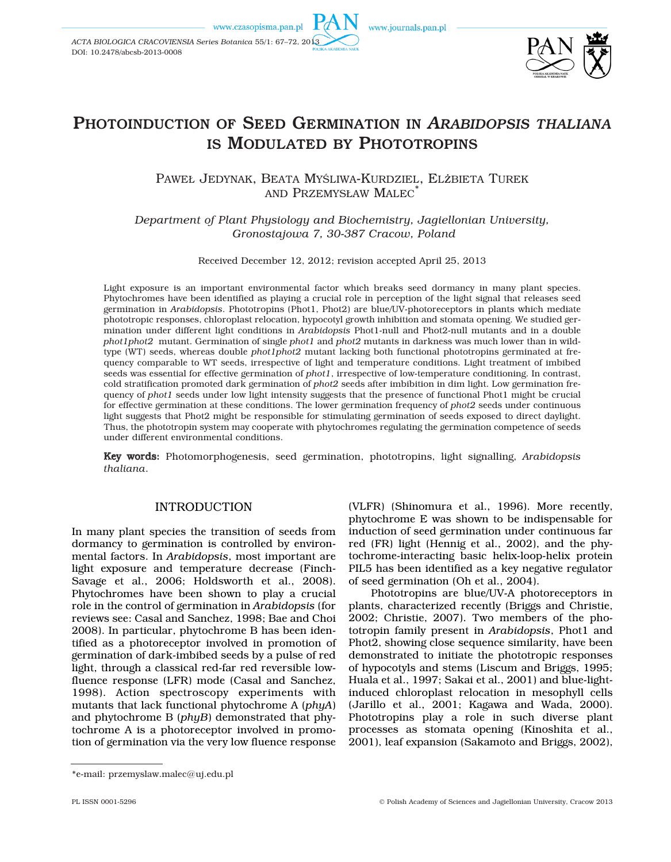www.czasopisma.pan.pl

*ACTA BIOLOGICA CRACOVIENSIA Series Botanica* 55/1: 67–72, 2013

DOI: 10.2478/abcsb-2013-0008

www.journals.pan.pl



# PHOTOINDUCTION OF SEED GERMINATION IN *ARABIDOPSIS THALIANA* IS MODULATED BY PHOTOTROPINS

PAWEŁ JEDYNAK, BEATA MYŚLIWA-KURDZIEL, ELżBIETA TUREK AND PRZEMYSŁAW MALEC\*

*Department of Plant Physiology and Biochemistry, Jagiellonian University, Gronostajowa 7, 30-387 Cracow, Poland*

Received December 12, 2012; revision accepted April 25, 2013

Light exposure is an important environmental factor which breaks seed dormancy in many plant species. Phytochromes have been identified as playing a crucial role in perception of the light signal that releases seed germination in *Arabidopsis*. Phototropins (Phot1, Phot2) are blue/UV-photoreceptors in plants which mediate phototropic responses, chloroplast relocation, hypocotyl growth inhibition and stomata opening. We studied germination under different light conditions in *Arabidopsis* Phot1-null and Phot2-null mutants and in a double *phot1phot2* mutant. Germination of single *phot1* and *phot2* mutants in darkness was much lower than in wildtype (WT) seeds, whereas double *phot1phot2* mutant lacking both functional phototropins germinated at frequency comparable to WT seeds, irrespective of light and temperature conditions. Light treatment of imbibed seeds was essential for effective germination of *phot1*, irrespective of low-temperature conditioning. In contrast, cold stratification promoted dark germination of *phot2* seeds after imbibition in dim light. Low germination frequency of *phot1* seeds under low light intensity suggests that the presence of functional Phot1 might be crucial for effective germination at these conditions. The lower germination frequency of *phot2* seeds under continuous light suggests that Phot2 might be responsible for stimulating germination of seeds exposed to direct daylight. Thus, the phototropin system may cooperate with phytochromes regulating the germination competence of seeds under different environmental conditions.

Key words: Photomorphogenesis, seed germination, phototropins, light signalling, *Arabidopsis thaliana*.

## INTRODUCTION

In many plant species the transition of seeds from dormancy to germination is controlled by environmental factors. In *Arabidopsis*, most important are light exposure and temperature decrease (Finch-Savage et al., 2006; Holdsworth et al., 2008). Phytochromes have been shown to play a crucial role in the control of germination in *Arabidopsis* (for reviews see: Casal and Sanchez, 1998; Bae and Choi 2008). In particular, phytochrome B has been identified as a photoreceptor involved in promotion of germination of dark-imbibed seeds by a pulse of red light, through a classical red-far red reversible lowfluence response (LFR) mode (Casal and Sanchez, 1998). Action spectroscopy experiments with mutants that lack functional phytochrome A (*phyA*) and phytochrome B (*phyB*) demonstrated that phytochrome A is a photoreceptor involved in promotion of germination via the very low fluence response

(VLFR) (Shinomura et al., 1996). More recently, phytochrome E was shown to be indispensable for induction of seed germination under continuous far red (FR) light (Hennig et al., 2002), and the phytochrome-interacting basic helix-loop-helix protein PIL5 has been identified as a key negative regulator of seed germination (Oh et al., 2004).

Phototropins are blue/UV-A photoreceptors in plants, characterized recently (Briggs and Christie, 2002; Christie, 2007). Two members of the phototropin family present in *Arabidopsis*, Phot1 and Phot2, showing close sequence similarity, have been demonstrated to initiate the phototropic responses of hypocotyls and stems (Liscum and Briggs, 1995; Huala et al., 1997; Sakai et al., 2001) and blue-lightinduced chloroplast relocation in mesophyll cells (Jarillo et al., 2001; Kagawa and Wada, 2000). Phototropins play a role in such diverse plant processes as stomata opening (Kinoshita et al., 2001), leaf expansion (Sakamoto and Briggs, 2002),

<sup>\*</sup>e-mail: przemyslaw.malec@uj.edu.pl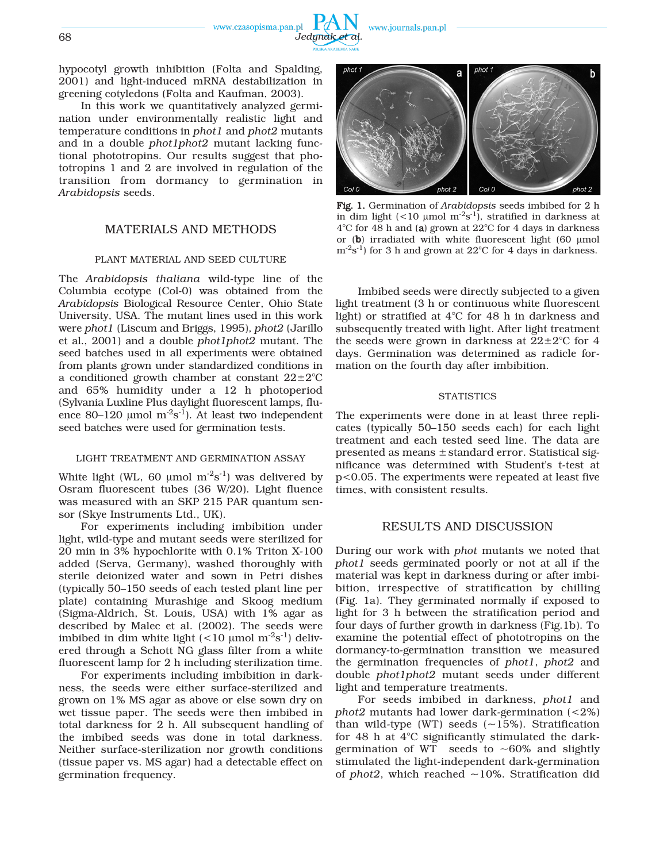

hypocotyl growth inhibition (Folta and Spalding, 2001) and light-induced mRNA destabilization in greening cotyledons (Folta and Kaufman, 2003).

In this work we quantitatively analyzed germination under environmentally realistic light and temperature conditions in *phot1* and *phot2* mutants and in a double *phot1phot2* mutant lacking functional phototropins. Our results suggest that phototropins 1 and 2 are involved in regulation of the transition from dormancy to germination in *Arabidopsis* seeds.

## MATERIALS AND METHODS

#### PLANT MATERIAL AND SEED CULTURE

The *Arabidopsis thaliana* wild-type line of the Columbia ecotype (Col-0) was obtained from the *Arabidopsis* Biological Resource Center, Ohio State University, USA. The mutant lines used in this work were *phot1* (Liscum and Briggs, 1995), *phot2* (Jarillo et al., 2001) and a double *phot1phot2* mutant. The seed batches used in all experiments were obtained from plants grown under standardized conditions in a conditioned growth chamber at constant  $22 \pm 2^{\circ}$ C and 65% humidity under a 12 h photoperiod (Sylvania Luxline Plus daylight fluorescent lamps, fluence 80–120 µmol  $m^2s^{-1}$ ). At least two independent seed batches were used for germination tests.

### LIGHT TREATMENT AND GERMINATION ASSAY

White light (WL, 60 µmol  $m<sup>-2</sup>s<sup>-1</sup>$ ) was delivered by Osram fluorescent tubes (36 W/20). Light fluence was measured with an SKP 215 PAR quantum sensor (Skye Instruments Ltd., UK).

For experiments including imbibition under light, wild-type and mutant seeds were sterilized for 20 min in 3% hypochlorite with 0.1% Triton X-100 added (Serva, Germany), washed thoroughly with sterile deionized water and sown in Petri dishes (typically 50–150 seeds of each tested plant line per plate) containing Murashige and Skoog medium (Sigma-Aldrich, St. Louis, USA) with 1% agar as described by Malec et al. (2002). The seeds were imbibed in dim white light  $(<10 \text{ \mu m}) \text{ m}^2\text{s}^{-1}$ ) delivered through a Schott NG glass filter from a white fluorescent lamp for 2 h including sterilization time.

For experiments including imbibition in darkness, the seeds were either surface-sterilized and grown on 1% MS agar as above or else sown dry on wet tissue paper. The seeds were then imbibed in total darkness for 2 h. All subsequent handling of the imbibed seeds was done in total darkness. Neither surface-sterilization nor growth conditions (tissue paper vs. MS agar) had a detectable effect on germination frequency.



Fig. 1. Germination of *Arabidopsis* seeds imbibed for 2 h in dim light ( $\lt 10$  µmol m<sup>-2</sup>s<sup>-1</sup>), stratified in darkness at 4°C for 48 h and (a) grown at 22°C for 4 days in darkness or (b) irradiated with white fluorescent light (60 μmol  $\text{m}^2\text{s}^{-1}$ ) for 3 h and grown at 22<sup>o</sup>C for 4 days in darkness.

Imbibed seeds were directly subjected to a given light treatment (3 h or continuous white fluorescent light) or stratified at 4°C for 48 h in darkness and subsequently treated with light. After light treatment the seeds were grown in darkness at  $22 \pm 2^{\circ}$ C for 4 days. Germination was determined as radicle formation on the fourth day after imbibition.

#### **STATISTICS**

The experiments were done in at least three replicates (typically 50–150 seeds each) for each light treatment and each tested seed line. The data are presented as means ±standard error. Statistical significance was determined with Student's t-test at p<0.05. The experiments were repeated at least five times, with consistent results.

## RESULTS AND DISCUSSION

During our work with *phot* mutants we noted that *phot1* seeds germinated poorly or not at all if the material was kept in darkness during or after imbibition, irrespective of stratification by chilling (Fig. 1a). They germinated normally if exposed to light for 3 h between the stratification period and four days of further growth in darkness (Fig.1b). To examine the potential effect of phototropins on the dormancy-to-germination transition we measured the germination frequencies of *phot1*, *phot2* and double *phot1phot2* mutant seeds under different light and temperature treatments.

For seeds imbibed in darkness, *phot1* and *phot2* mutants had lower dark-germination (<2%) than wild-type (WT) seeds  $(-15%)$ . Stratification for 48 h at 4°C significantly stimulated the darkgermination of WT seeds to  $\sim 60\%$  and slightly stimulated the light-independent dark-germination of *phot2*, which reached  $\sim$ 10%. Stratification did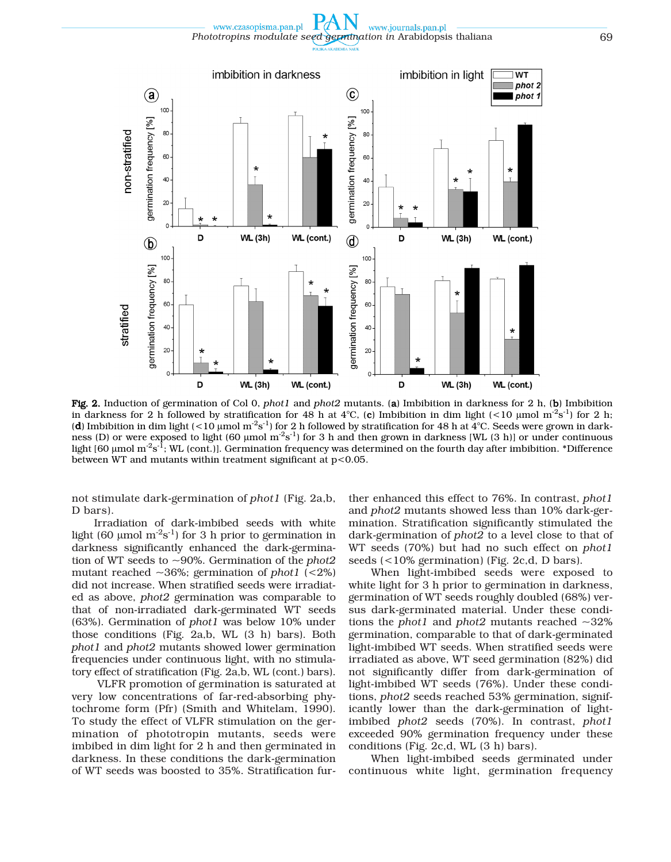www.czasopisma.pan.pl www.journals.pan.pl *Phototropins modulate seed germination in* Arabidopsis thaliana 69



Fig. 2. Induction of germination of Col 0, *phot1* and *phot2* mutants. (a) Imbibition in darkness for 2 h, (b) Imbibition in darkness for 2 h followed by stratification for 48 h at 4°C, (c) Imbibition in dim light (<10 µmol m<sup>-2</sup>s<sup>-1</sup>) for 2 h; (d) Imbibition in dim light (<10 µmol m<sup>-2</sup>s<sup>-1</sup>) for 2 h followed by stratification for 48 h at  $4^{\circ}$ C. Seeds were grown in darkness (D) or were exposed to light (60 µmol  $m^2s^{-1}$ ) for 3 h and then grown in darkness [WL (3 h)] or under continuous light [60 μmol m<sup>-2</sup>s<sup>-1</sup>; WL (cont.)]. Germination frequency was determined on the fourth day after imbibition. \*Difference between WT and mutants within treatment significant at p<0.05.

not stimulate dark-germination of *phot1* (Fig. 2a,b, D bars).

Irradiation of dark-imbibed seeds with white light (60  $\mu$ mol m<sup>-2</sup>s<sup>-1</sup>) for 3 h prior to germination in darkness significantly enhanced the dark-germination of WT seeds to ~90%. Germination of the *phot2* mutant reached ~36%; germination of *phot1* (<2%) did not increase. When stratified seeds were irradiated as above, *phot2* germination was comparable to that of non-irradiated dark-germinated WT seeds (63%). Germination of *phot1* was below 10% under those conditions (Fig. 2a,b, WL (3 h) bars). Both *phot1* and *phot2* mutants showed lower germination frequencies under continuous light, with no stimulatory effect of stratification (Fig. 2a,b, WL (cont.) bars).

VLFR promotion of germination is saturated at very low concentrations of far-red-absorbing phytochrome form (Pfr) (Smith and Whitelam, 1990). To study the effect of VLFR stimulation on the germination of phototropin mutants, seeds were imbibed in dim light for 2 h and then germinated in darkness. In these conditions the dark-germination of WT seeds was boosted to 35%. Stratification further enhanced this effect to 76%. In contrast, *phot1* and *phot2* mutants showed less than 10% dark-germination. Stratification significantly stimulated the dark-germination of *phot2* to a level close to that of WT seeds (70%) but had no such effect on *phot1* seeds (<10% germination) (Fig. 2c,d, D bars).

When light-imbibed seeds were exposed to white light for 3 h prior to germination in darkness, germination of WT seeds roughly doubled (68%) versus dark-germinated material. Under these conditions the *phot1* and *phot2* mutants reached ~32% germination, comparable to that of dark-germinated light-imbibed WT seeds. When stratified seeds were irradiated as above, WT seed germination (82%) did not significantly differ from dark-germination of light-imbibed WT seeds (76%). Under these conditions, *phot2* seeds reached 53% germination, significantly lower than the dark-germination of lightimbibed *phot2* seeds (70%). In contrast, *phot1* exceeded 90% germination frequency under these conditions (Fig. 2c,d, WL (3 h) bars).

When light-imbibed seeds germinated under continuous white light, germination frequency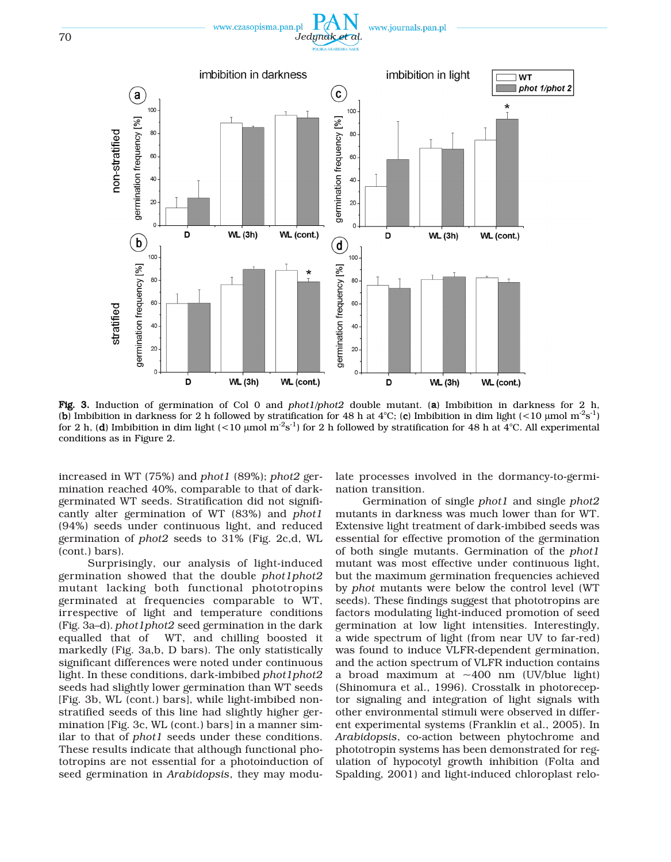

Fig. 3. Induction of germination of Col 0 and *phot1*/*phot2* double mutant. (a) Imbibition in darkness for 2 h, (b) Imbibition in darkness for 2 h followed by stratification for 48 h at 4°C; (c) Imbibition in dim light (<10 µmol m<sup>-2</sup>s<sup>-1</sup>) for 2 h, (d) Imbibition in dim light (<10 µmol m<sup>-2</sup>s<sup>-1</sup>) for 2 h followed by stratification for 48 h at  $4^{\circ}$ C. All experimental conditions as in Figure 2.

WL (cont.)

40

20

D

increased in WT (75%) and *phot1* (89%); *phot2* germination reached 40%, comparable to that of darkgerminated WT seeds. Stratification did not significantly alter germination of WT (83%) and *phot1* (94%) seeds under continuous light, and reduced germination of *phot2* seeds to 31% (Fig. 2c,d, WL (cont.) bars).

D

**WL (3h)** 

40

20

 $\Omega$ 

Surprisingly, our analysis of light-induced germination showed that the double *phot1phot2* mutant lacking both functional phototropins germinated at frequencies comparable to WT, irrespective of light and temperature conditions (Fig. 3a–d). *phot1phot2* seed germination in the dark equalled that of WT, and chilling boosted it markedly (Fig. 3a,b, D bars). The only statistically significant differences were noted under continuous light. In these conditions, dark-imbibed *phot1phot2* seeds had slightly lower germination than WT seeds [Fig. 3b, WL (cont.) bars], while light-imbibed nonstratified seeds of this line had slightly higher germination [Fig. 3c, WL (cont.) bars] in a manner similar to that of *phot1* seeds under these conditions. These results indicate that although functional phototropins are not essential for a photoinduction of seed germination in *Arabidopsis*, they may modulate processes involved in the dormancy-to-germination transition.

WL (cont.)

**WL (3h)** 

Germination of single *phot1* and single *phot2* mutants in darkness was much lower than for WT. Extensive light treatment of dark-imbibed seeds was essential for effective promotion of the germination of both single mutants. Germination of the *phot1* mutant was most effective under continuous light, but the maximum germination frequencies achieved by *phot* mutants were below the control level (WT seeds). These findings suggest that phototropins are factors modulating light-induced promotion of seed germination at low light intensities. Interestingly, a wide spectrum of light (from near UV to far-red) was found to induce VLFR-dependent germination, and the action spectrum of VLFR induction contains a broad maximum at  $\sim$ 400 nm (UV/blue light) (Shinomura et al., 1996). Crosstalk in photoreceptor signaling and integration of light signals with other environmental stimuli were observed in different experimental systems (Franklin et al., 2005). In *Arabidopsis*, co-action between phytochrome and phototropin systems has been demonstrated for regulation of hypocotyl growth inhibition (Folta and Spalding, 2001) and light-induced chloroplast relo-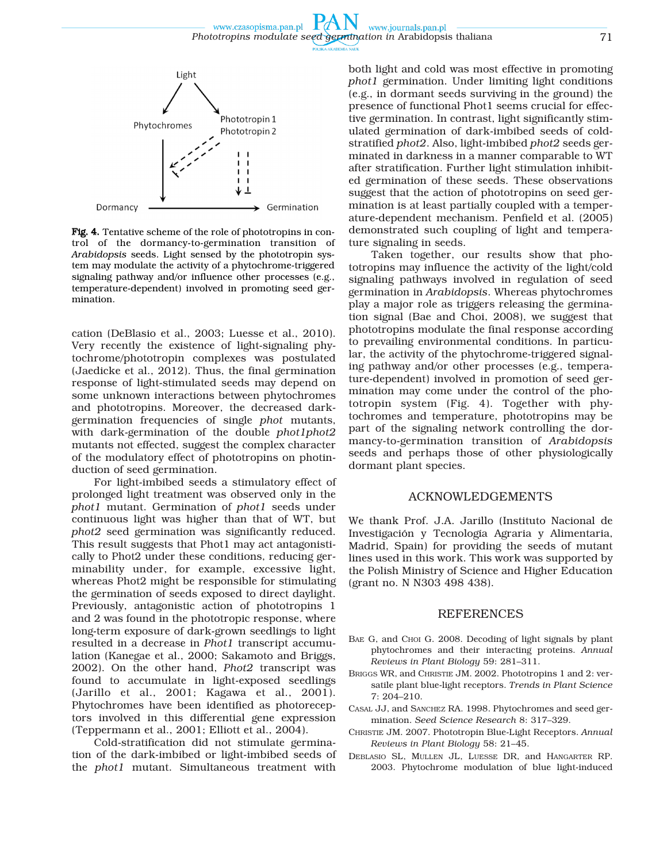

Fig. 4. Tentative scheme of the role of phototropins in control of the dormancy-to-germination transition of *Arabidopsis* seeds. Light sensed by the phototropin system may modulate the activity of a phytochrome-triggered signaling pathway and/or influence other processes (e.g., temperature-dependent) involved in promoting seed germination.

cation (DeBlasio et al., 2003; Luesse et al., 2010). Very recently the existence of light-signaling phytochrome/phototropin complexes was postulated (Jaedicke et al., 2012). Thus, the final germination response of light-stimulated seeds may depend on some unknown interactions between phytochromes and phototropins. Moreover, the decreased darkgermination frequencies of single *phot* mutants, with dark-germination of the double *phot1phot2* mutants not effected, suggest the complex character of the modulatory effect of phototropins on photinduction of seed germination.

For light-imbibed seeds a stimulatory effect of prolonged light treatment was observed only in the *phot1* mutant. Germination of *phot1* seeds under continuous light was higher than that of WT, but *phot2* seed germination was significantly reduced. This result suggests that Phot1 may act antagonistically to Phot2 under these conditions, reducing germinability under, for example, excessive light, whereas Phot2 might be responsible for stimulating the germination of seeds exposed to direct daylight. Previously, antagonistic action of phototropins 1 and 2 was found in the phototropic response, where long-term exposure of dark-grown seedlings to light resulted in a decrease in *Phot1* transcript accumulation (Kanegae et al., 2000; Sakamoto and Briggs, 2002). On the other hand, *Phot2* transcript was found to accumulate in light-exposed seedlings (Jarillo et al., 2001; Kagawa et al., 2001). Phytochromes have been identified as photoreceptors involved in this differential gene expression (Teppermann et al., 2001; Elliott et al., 2004).

Cold-stratification did not stimulate germination of the dark-imbibed or light-imbibed seeds of the *phot1* mutant. Simultaneous treatment with both light and cold was most effective in promoting *phot1* germination. Under limiting light conditions (e.g., in dormant seeds surviving in the ground) the presence of functional Phot1 seems crucial for effective germination. In contrast, light significantly stimulated germination of dark-imbibed seeds of coldstratified *phot2*. Also, light-imbibed *phot2* seeds germinated in darkness in a manner comparable to WT after stratification. Further light stimulation inhibited germination of these seeds. These observations suggest that the action of phototropins on seed germination is at least partially coupled with a temperature-dependent mechanism. Penfield et al. (2005) demonstrated such coupling of light and temperature signaling in seeds.

Taken together, our results show that phototropins may influence the activity of the light/cold signaling pathways involved in regulation of seed germination in *Arabidopsis*. Whereas phytochromes play a major role as triggers releasing the germination signal (Bae and Choi, 2008), we suggest that phototropins modulate the final response according to prevailing environmental conditions. In particular, the activity of the phytochrome-triggered signaling pathway and/or other processes (e.g., temperature-dependent) involved in promotion of seed germination may come under the control of the phototropin system (Fig. 4). Together with phytochromes and temperature, phototropins may be part of the signaling network controlling the dormancy-to-germination transition of *Arabidopsis* seeds and perhaps those of other physiologically dormant plant species.

## ACKNOWLEDGEMENTS

We thank Prof. J.A. Jarillo (Instituto Nacional de Investigación y Tecnología Agraria y Alimentaria, Madrid, Spain) for providing the seeds of mutant lines used in this work. This work was supported by the Polish Ministry of Science and Higher Education (grant no. N N303 498 438).

### REFERENCES

- BAE G, and CHOI G. 2008. Decoding of light signals by plant phytochromes and their interacting proteins. *Annual Reviews in Plant Biology* 59: 281–311.
- BRIGGS WR, and CHRISTIE JM. 2002. Phototropins 1 and 2: versatile plant blue-light receptors. *Trends in Plant Science* 7: 204–210.
- CASAL JJ, and SANCHEZ RA. 1998. Phytochromes and seed germination. *Seed Science Research* 8: 317–329.
- CHRISTIE JM. 2007. Phototropin Blue-Light Receptors. *Annual Reviews in Plant Biology* 58: 21–45.
- DEBLASIO SL, MULLEN JL, LUESSE DR, and HANGARTER RP. 2003. Phytochrome modulation of blue light-induced